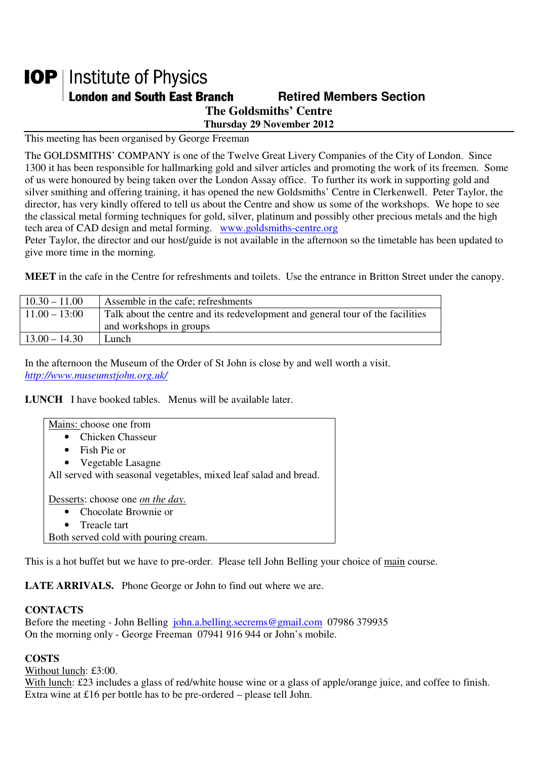## **IOP** | Institute of Physics **London and South East Branch Fig. 2.1 Retired Members Section The Goldsmiths' Centre**

**Thursday 29 November 2012** 

This meeting has been organised by George Freeman

The GOLDSMITHS' COMPANY is one of the Twelve Great Livery Companies of the City of London. Since 1300 it has been responsible for hallmarking gold and silver articles and promoting the work of its freemen. Some of us were honoured by being taken over the London Assay office. To further its work in supporting gold and silver smithing and offering training, it has opened the new Goldsmiths' Centre in Clerkenwell. Peter Taylor, the director, has very kindly offered to tell us about the Centre and show us some of the workshops. We hope to see the classical metal forming techniques for gold, silver, platinum and possibly other precious metals and the high tech area of CAD design and metal forming. www.goldsmiths-centre.org

Peter Taylor, the director and our host/guide is not available in the afternoon so the timetable has been updated to give more time in the morning.

**MEET** in the cafe in the Centre for refreshments and toilets. Use the entrance in Britton Street under the canopy.

| $10.30 - 11.00$ | Assemble in the cafe; refreshments                                             |
|-----------------|--------------------------------------------------------------------------------|
| $11.00 - 13:00$ | Talk about the centre and its redevelopment and general tour of the facilities |
|                 | and workshops in groups                                                        |
| $13.00 - 14.30$ | Lunch                                                                          |

In the afternoon the Museum of the Order of St John is close by and well worth a visit. *http://www.museumstjohn.org.uk/*

**LUNCH** I have booked tables. Menus will be available later.

| Mains: choose one from                                           |  |
|------------------------------------------------------------------|--|
| • Chicken Chasseur                                               |  |
| Fish Pie or<br>$\bullet$                                         |  |
| • Vegetable Lasagne                                              |  |
| All served with seasonal vegetables, mixed leaf salad and bread. |  |
|                                                                  |  |
| Desserts: choose one <i>on the day</i> .                         |  |
| • Chocolate Brownie or                                           |  |
| • Treacle tart                                                   |  |
| Both served cold with pouring cream.                             |  |

This is a hot buffet but we have to pre-order. Please tell John Belling your choice of main course.

**LATE ARRIVALS.** Phone George or John to find out where we are.

## **CONTACTS**

Before the meeting - John Belling john.a.belling.secrems@gmail.com 07986 379935 On the morning only - George Freeman 07941 916 944 or John's mobile.

## **COSTS**

Without lunch: £3:00.

With lunch: £23 includes a glass of red/white house wine or a glass of apple/orange juice, and coffee to finish. Extra wine at £16 per bottle has to be pre-ordered – please tell John.